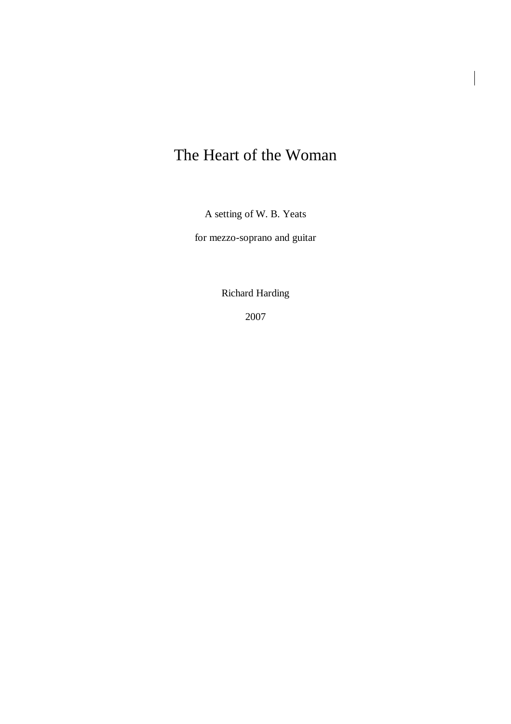## The Heart of the Woman

A setting of W. B. Yeats

for mezzo-soprano and guitar

Richard Harding

2007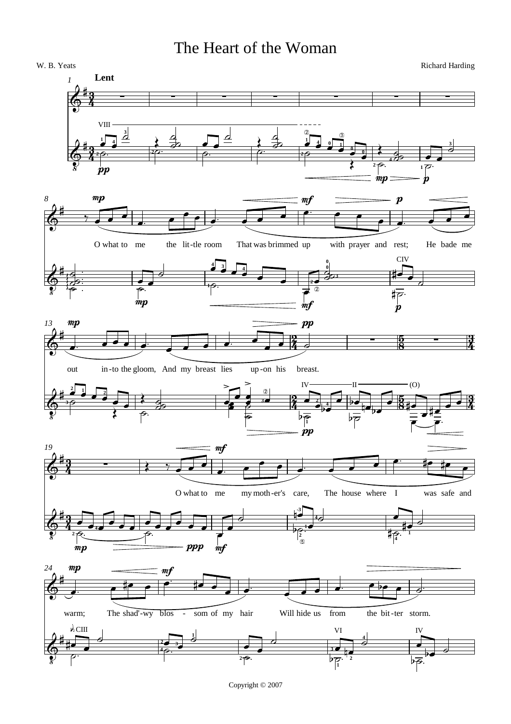## The Heart of the Woman